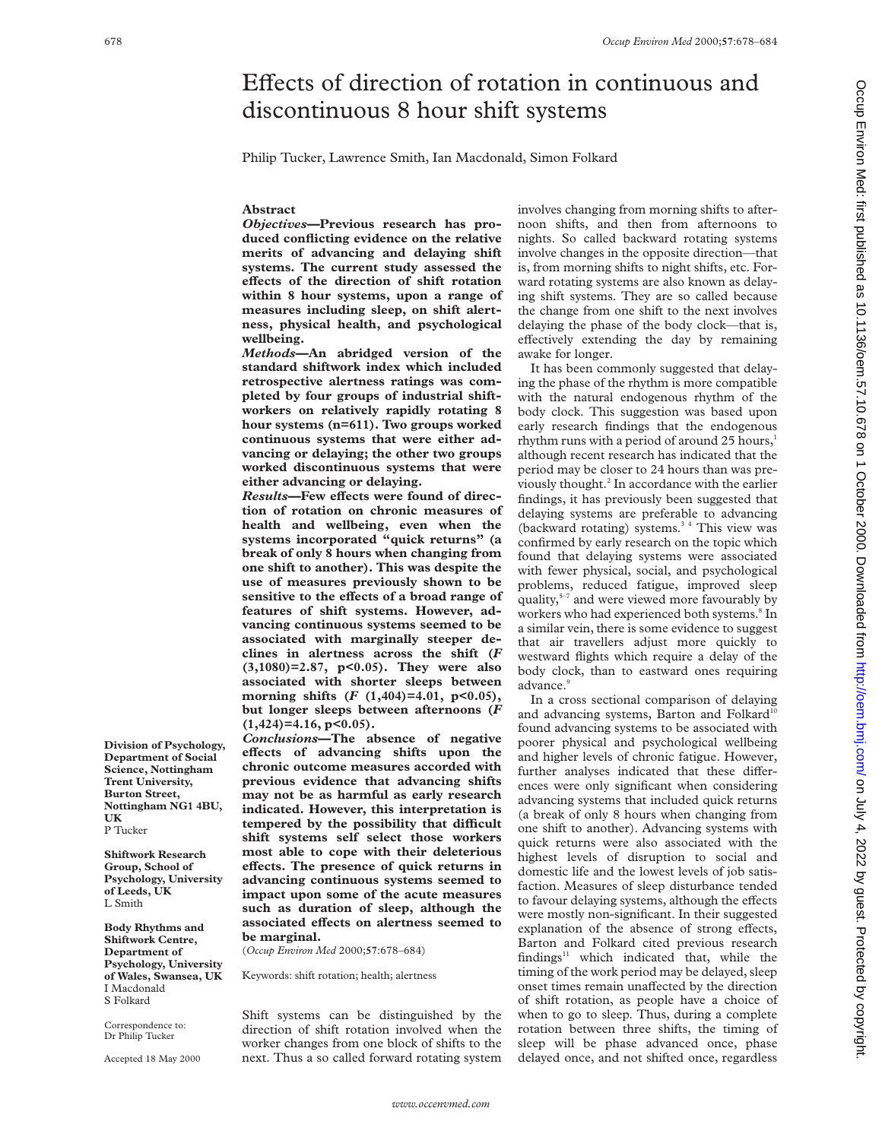# Effects of direction of rotation in continuous and discontinuous 8 hour shift systems

Philip Tucker, Lawrence Smith, Ian Macdonald, Simon Folkard

#### **Abstract**

*Objectives***—Previous research has produced conflicting evidence on the relative merits of advancing and delaying shift systems. The current study assessed the eVects of the direction of shift rotation within 8 hour systems, upon a range of measures including sleep, on shift alertness, physical health, and psychological wellbeing.**

*Methods***—An abridged version of the standard shiftwork index which included retrospective alertness ratings was completed by four groups of industrial shiftworkers on relatively rapidly rotating 8 hour systems (n=611). Two groups worked continuous systems that were either advancing or delaying; the other two groups worked discontinuous systems that were either advancing or delaying.**

**Results-Few effects were found of direction of rotation on chronic measures of health and wellbeing, even when the systems incorporated "quick returns" (a break of only 8 hours when changing from one shift to another). This was despite the use of measures previously shown to be** sensitive to the effects of a broad range of **features of shift systems. However, advancing continuous systems seemed to be associated with marginally steeper declines in alertness across the shift (***F* **(3,1080)=2.87, p<0.05). They were also associated with shorter sleeps between** morning shifts  $(F (1,404)=4.01, p<0.05)$ , **but longer sleeps between afternoons (***F* **(1,424)=4.16, p<0.05).**

*Conclusions***—The absence of negative eVects of advancing shifts upon the chronic outcome measures accorded with previous evidence that advancing shifts may not be as harmful as early research indicated. However, this interpretation is** tempered by the possibility that difficult **shift systems self select those workers most able to cope with their deleterious** effects. The presence of quick returns in **advancing continuous systems seemed to impact upon some of the acute measures such as duration of sleep, although the associated eVects on alertness seemed to be marginal.**

(*Occup Environ Med* 2000;**57**:678–684)

Keywords: shift rotation; health; alertness

Shift systems can be distinguished by the direction of shift rotation involved when the worker changes from one block of shifts to the next. Thus a so called forward rotating system involves changing from morning shifts to afternoon shifts, and then from afternoons to nights. So called backward rotating systems involve changes in the opposite direction—that is, from morning shifts to night shifts, etc. Forward rotating systems are also known as delaying shift systems. They are so called because the change from one shift to the next involves delaying the phase of the body clock—that is, effectively extending the day by remaining awake for longer.

It has been commonly suggested that delaying the phase of the rhythm is more compatible with the natural endogenous rhythm of the body clock. This suggestion was based upon early research findings that the endogenous rhythm runs with a period of around 25 hours,<sup>1</sup> although recent research has indicated that the period may be closer to 24 hours than was previously thought.2 In accordance with the earlier findings, it has previously been suggested that delaying systems are preferable to advancing (backward rotating) systems. $3<sup>4</sup>$  This view was confirmed by early research on the topic which found that delaying systems were associated with fewer physical, social, and psychological problems, reduced fatigue, improved sleep quality,<sup>5-7</sup> and were viewed more favourably by workers who had experienced both systems.<sup>8</sup> In a similar vein, there is some evidence to suggest that air travellers adjust more quickly to westward flights which require a delay of the body clock, than to eastward ones requiring advance.<sup>9</sup>

In a cross sectional comparison of delaying and advancing systems, Barton and Folkard<sup>10</sup> found advancing systems to be associated with poorer physical and psychological wellbeing and higher levels of chronic fatigue. However, further analyses indicated that these differences were only significant when considering advancing systems that included quick returns (a break of only 8 hours when changing from one shift to another). Advancing systems with quick returns were also associated with the highest levels of disruption to social and domestic life and the lowest levels of job satisfaction. Measures of sleep disturbance tended to favour delaying systems, although the effects were mostly non-significant. In their suggested explanation of the absence of strong effects, Barton and Folkard cited previous research findings $11$  which indicated that, while the timing of the work period may be delayed, sleep onset times remain unaffected by the direction of shift rotation, as people have a choice of when to go to sleep. Thus, during a complete rotation between three shifts, the timing of sleep will be phase advanced once, phase delayed once, and not shifted once, regardless

**Department of Social Science, Nottingham Trent University, Burton Street, Nottingham NG1 4BU, UK** P Tucker

**Division of Psychology,**

**Shiftwork Research Group, School of Psychology, University of Leeds, UK** L Smith

**Body Rhythms and Shiftwork Centre, Department of Psychology, University of Wales, Swansea, UK** I Macdonald S Folkard

Correspondence to: Dr Philip Tucker

Accepted 18 May 2000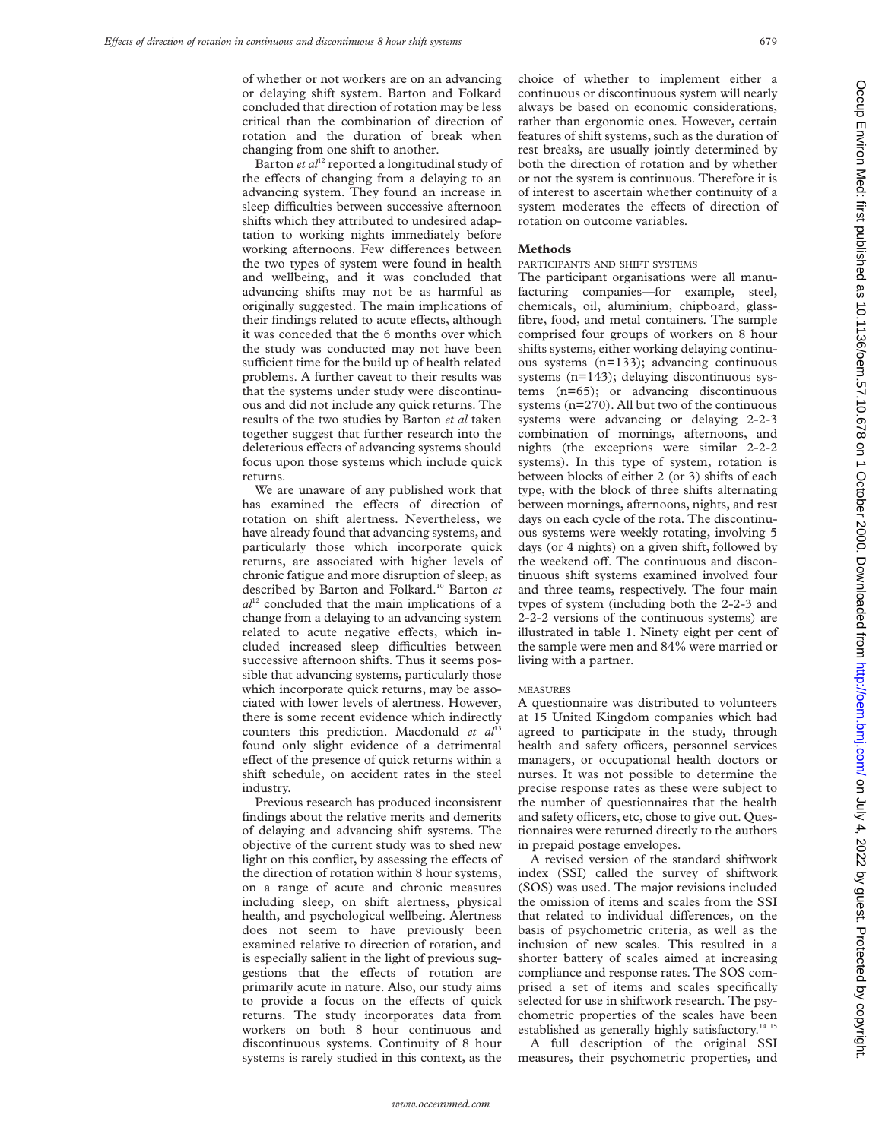of whether or not workers are on an advancing or delaying shift system. Barton and Folkard concluded that direction of rotation may be less critical than the combination of direction of rotation and the duration of break when changing from one shift to another.

Barton *et al*<sup>12</sup> reported a longitudinal study of the effects of changing from a delaying to an advancing system. They found an increase in sleep difficulties between successive afternoon shifts which they attributed to undesired adaptation to working nights immediately before working afternoons. Few differences between the two types of system were found in health and wellbeing, and it was concluded that advancing shifts may not be as harmful as originally suggested. The main implications of their findings related to acute effects, although it was conceded that the 6 months over which the study was conducted may not have been sufficient time for the build up of health related problems. A further caveat to their results was that the systems under study were discontinuous and did not include any quick returns. The results of the two studies by Barton *et al* taken together suggest that further research into the deleterious effects of advancing systems should focus upon those systems which include quick returns.

We are unaware of any published work that has examined the effects of direction of rotation on shift alertness. Nevertheless, we have already found that advancing systems, and particularly those which incorporate quick returns, are associated with higher levels of chronic fatigue and more disruption of sleep, as described by Barton and Folkard.10 Barton *et al*<sup>12</sup> concluded that the main implications of a change from a delaying to an advancing system related to acute negative effects, which included increased sleep difficulties between successive afternoon shifts. Thus it seems possible that advancing systems, particularly those which incorporate quick returns, may be associated with lower levels of alertness. However, there is some recent evidence which indirectly counters this prediction. Macdonald *et al*<sup>13</sup> found only slight evidence of a detrimental effect of the presence of quick returns within a shift schedule, on accident rates in the steel industry.

Previous research has produced inconsistent findings about the relative merits and demerits of delaying and advancing shift systems. The objective of the current study was to shed new light on this conflict, by assessing the effects of the direction of rotation within 8 hour systems, on a range of acute and chronic measures including sleep, on shift alertness, physical health, and psychological wellbeing. Alertness does not seem to have previously been examined relative to direction of rotation, and is especially salient in the light of previous suggestions that the effects of rotation are primarily acute in nature. Also, our study aims to provide a focus on the effects of quick returns. The study incorporates data from workers on both 8 hour continuous and discontinuous systems. Continuity of 8 hour systems is rarely studied in this context, as the

choice of whether to implement either a continuous or discontinuous system will nearly always be based on economic considerations, rather than ergonomic ones. However, certain features of shift systems, such as the duration of rest breaks, are usually jointly determined by both the direction of rotation and by whether or not the system is continuous. Therefore it is of interest to ascertain whether continuity of a system moderates the effects of direction of rotation on outcome variables.

# **Methods**

# PARTICIPANTS AND SHIFT SYSTEMS

The participant organisations were all manufacturing companies—for example, steel, chemicals, oil, aluminium, chipboard, glassfibre, food, and metal containers. The sample comprised four groups of workers on 8 hour shifts systems, either working delaying continuous systems (n=133); advancing continuous systems (n=143); delaying discontinuous systems (n=65); or advancing discontinuous systems (n=270). All but two of the continuous systems were advancing or delaying 2-2-3 combination of mornings, afternoons, and nights (the exceptions were similar 2-2-2 systems). In this type of system, rotation is between blocks of either 2 (or 3) shifts of each type, with the block of three shifts alternating between mornings, afternoons, nights, and rest days on each cycle of the rota. The discontinuous systems were weekly rotating, involving 5 days (or 4 nights) on a given shift, followed by the weekend off. The continuous and discontinuous shift systems examined involved four and three teams, respectively. The four main types of system (including both the 2-2-3 and 2-2-2 versions of the continuous systems) are illustrated in table 1. Ninety eight per cent of the sample were men and 84% were married or living with a partner.

#### **MEASURES**

A questionnaire was distributed to volunteers at 15 United Kingdom companies which had agreed to participate in the study, through health and safety officers, personnel services managers, or occupational health doctors or nurses. It was not possible to determine the precise response rates as these were subject to the number of questionnaires that the health and safety officers, etc, chose to give out. Questionnaires were returned directly to the authors in prepaid postage envelopes.

A revised version of the standard shiftwork index (SSI) called the survey of shiftwork (SOS) was used. The major revisions included the omission of items and scales from the SSI that related to individual differences, on the basis of psychometric criteria, as well as the inclusion of new scales. This resulted in a shorter battery of scales aimed at increasing compliance and response rates. The SOS comprised a set of items and scales specifically selected for use in shiftwork research. The psychometric properties of the scales have been established as generally highly satisfactory.<sup>14 15</sup>

A full description of the original SSI measures, their psychometric properties, and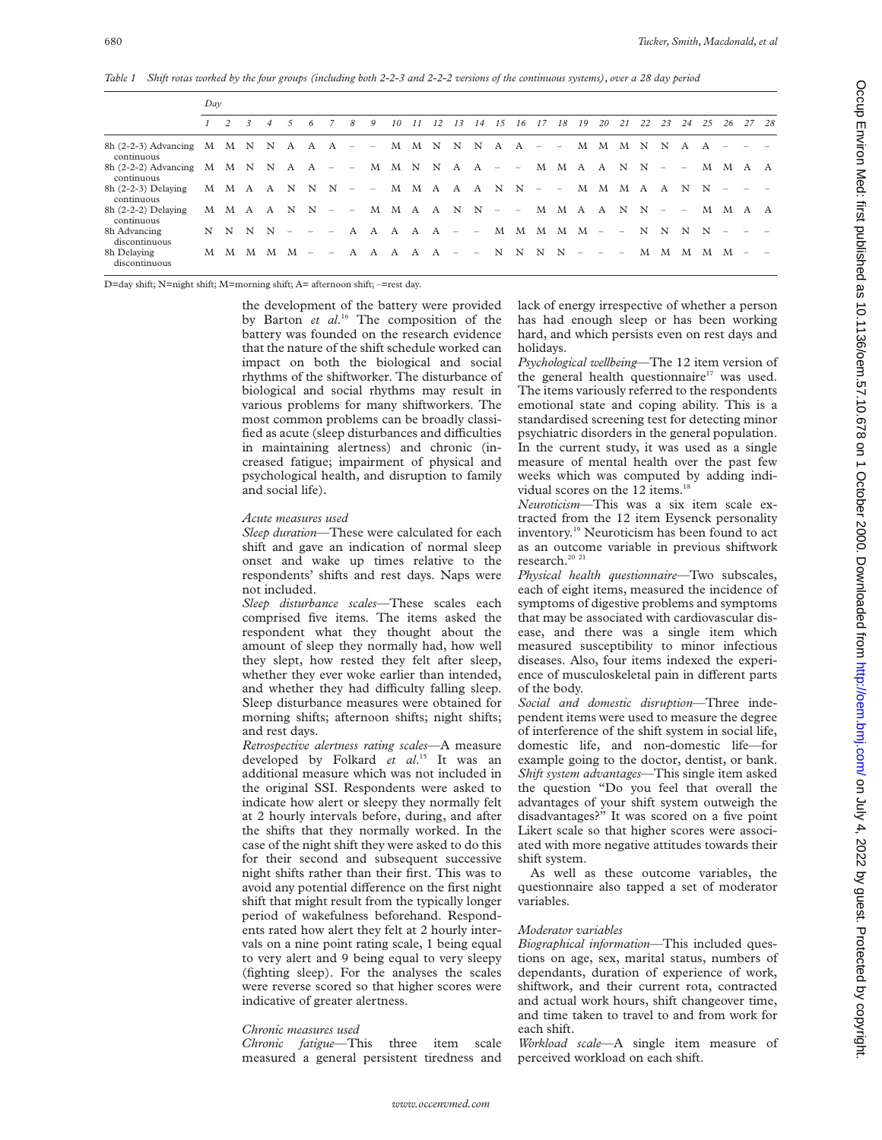*Table 1 Shift rotas worked by the four groups (including both 2-2-3 and 2-2-2 versions of the continuous systems), over a 28 day period*

|                                                                                                  | Dav |                     |  |                |                |                                                                 |  |               |                                                                                                    |  |  |          |    |  |                             |  |    |       |    |                |  |  |
|--------------------------------------------------------------------------------------------------|-----|---------------------|--|----------------|----------------|-----------------------------------------------------------------|--|---------------|----------------------------------------------------------------------------------------------------|--|--|----------|----|--|-----------------------------|--|----|-------|----|----------------|--|--|
|                                                                                                  |     | $1 \quad 2 \quad 3$ |  | $\overline{4}$ | 5 <sup>5</sup> | 6                                                               |  | $\mathcal{S}$ | 9                                                                                                  |  |  | 10 11 12 | 13 |  | 14   15   16   17   18   19 |  | 20 | 21 22 | 23 | 24 25 26 27 28 |  |  |
| 8h (2-2-3) Advancing M M N N A A $A = -$ M M N N N A A $A = -$ M M M N N A A $A =$<br>continuous |     |                     |  |                |                |                                                                 |  |               |                                                                                                    |  |  |          |    |  |                             |  |    |       |    |                |  |  |
| 8h (2-2-2) Advancing M M N N A A - - M M N N A A - - M M A A N N - - M M A A<br>continuous       |     |                     |  |                |                |                                                                 |  |               |                                                                                                    |  |  |          |    |  |                             |  |    |       |    |                |  |  |
| $8h(2-2-3)$ Delaying<br>continuous                                                               |     |                     |  |                |                |                                                                 |  |               | M M A A N N N - - M M A A A N N - - M M M A A N N - -                                              |  |  |          |    |  |                             |  |    |       |    |                |  |  |
| $8h(2-2-2)$ Delaying<br>continuous                                                               |     |                     |  |                |                |                                                                 |  |               | $M$ $M$ $A$ $A$ $N$ $N$ $  M$ $M$ $A$ $A$ $N$ $N$ $   M$ $M$ $M$ $A$ $A$ $N$ $N$ $  M$ $M$ $A$ $A$ |  |  |          |    |  |                             |  |    |       |    |                |  |  |
| 8h Advancing<br>discontinuous                                                                    |     |                     |  | N N N N        |                | $\mathcal{L}(\mathcal{L})$ , and $\mathcal{L}(\mathcal{L})$ and |  |               | A A A A A - - M M M M M - - N N N N - -                                                            |  |  |          |    |  |                             |  |    |       |    |                |  |  |
| 8h Delaying<br>discontinuous                                                                     |     |                     |  |                |                |                                                                 |  |               | M M M M M - - A A A A A - - N N N N - - -                                                          |  |  |          |    |  |                             |  |    |       |    | M M M M M – –  |  |  |

D=day shift; N=night shift; M=morning shift; A= afternoon shift; –=rest day.

the development of the battery were provided by Barton *et al*. <sup>16</sup> The composition of the battery was founded on the research evidence that the nature of the shift schedule worked can impact on both the biological and social rhythms of the shiftworker. The disturbance of biological and social rhythms may result in various problems for many shiftworkers. The most common problems can be broadly classified as acute (sleep disturbances and difficulties in maintaining alertness) and chronic (increased fatigue; impairment of physical and psychological health, and disruption to family and social life).

#### *Acute measures used*

*Sleep duration*—These were calculated for each shift and gave an indication of normal sleep onset and wake up times relative to the respondents' shifts and rest days. Naps were not included.

*Sleep disturbance scales*—These scales each comprised five items. The items asked the respondent what they thought about the amount of sleep they normally had, how well they slept, how rested they felt after sleep, whether they ever woke earlier than intended, and whether they had difficulty falling sleep. Sleep disturbance measures were obtained for morning shifts; afternoon shifts; night shifts; and rest days.

*Retrospective alertness rating scales*—A measure developed by Folkard *et al*. <sup>15</sup> It was an additional measure which was not included in the original SSI. Respondents were asked to indicate how alert or sleepy they normally felt at 2 hourly intervals before, during, and after the shifts that they normally worked. In the case of the night shift they were asked to do this for their second and subsequent successive night shifts rather than their first. This was to avoid any potential difference on the first night shift that might result from the typically longer period of wakefulness beforehand. Respondents rated how alert they felt at 2 hourly intervals on a nine point rating scale, 1 being equal to very alert and 9 being equal to very sleepy (fighting sleep). For the analyses the scales were reverse scored so that higher scores were indicative of greater alertness.

## *Chronic measures used*

*Chronic fatigue*—This three item scale measured a general persistent tiredness and lack of energy irrespective of whether a person has had enough sleep or has been working hard, and which persists even on rest days and holidays.

*Psychological wellbeing*—The 12 item version of the general health questionnaire<sup>17</sup> was used. The items variously referred to the respondents emotional state and coping ability. This is a standardised screening test for detecting minor psychiatric disorders in the general population. In the current study, it was used as a single measure of mental health over the past few weeks which was computed by adding individual scores on the 12 items.<sup>18</sup>

*Neuroticism*—This was a six item scale extracted from the 12 item Eysenck personality inventory.19 Neuroticism has been found to act as an outcome variable in previous shiftwork research.<sup>20</sup><sup>21</sup>

*Physical health questionnaire*—Two subscales, each of eight items, measured the incidence of symptoms of digestive problems and symptoms that may be associated with cardiovascular disease, and there was a single item which measured susceptibility to minor infectious diseases. Also, four items indexed the experience of musculoskeletal pain in different parts of the body.

*Social and domestic disruption*—Three independent items were used to measure the degree of interference of the shift system in social life, domestic life, and non-domestic life—for example going to the doctor, dentist, or bank. *Shift system advantages*—This single item asked the question "Do you feel that overall the advantages of your shift system outweigh the disadvantages?" It was scored on a five point Likert scale so that higher scores were associated with more negative attitudes towards their shift system.

As well as these outcome variables, the questionnaire also tapped a set of moderator variables.

## *Moderator variables*

*Biographical information*—This included questions on age, sex, marital status, numbers of dependants, duration of experience of work, shiftwork, and their current rota, contracted and actual work hours, shift changeover time, and time taken to travel to and from work for each shift.

*Workload scale*—A single item measure of perceived workload on each shift.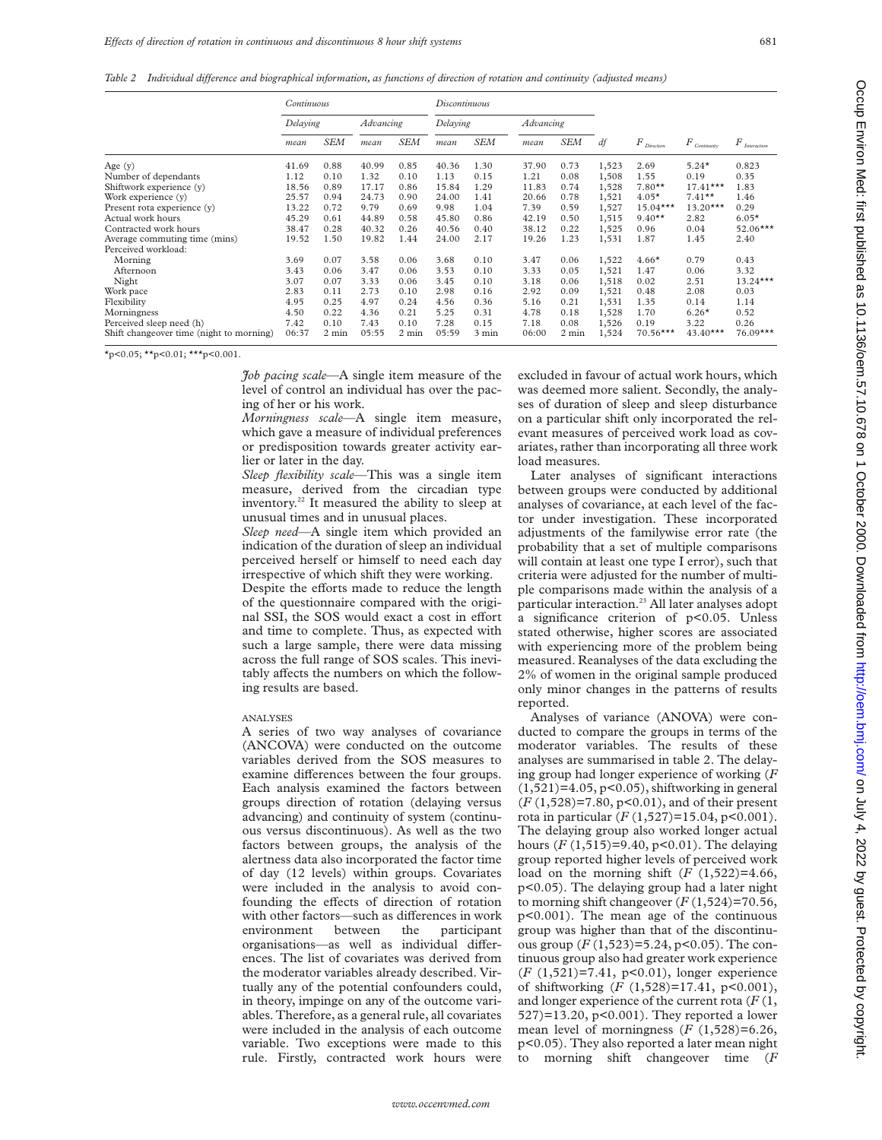*Table 2 Individual diVerence and biographical information, as functions of direction of rotation and continuity (adjusted means)*

|                                          | Continuous |            |           |            | Discontinuous |            |                  |            |       |                          |                |                            |  |
|------------------------------------------|------------|------------|-----------|------------|---------------|------------|------------------|------------|-------|--------------------------|----------------|----------------------------|--|
|                                          | Delaying   |            | Advancing |            | Delaying      |            | <b>Advancing</b> |            |       |                          |                |                            |  |
|                                          | mean       | <b>SEM</b> | mean      | <b>SEM</b> | mean          | <b>SEM</b> | mean             | <b>SEM</b> | df    | $F_{\mathit{Direction}}$ | $F$ Continuity | $F_{\tiny\it Interaction}$ |  |
| Age $(y)$                                | 41.69      | 0.88       | 40.99     | 0.85       | 40.36         | 1.30       | 37.90            | 0.73       | 1,523 | 2.69                     | $5.24*$        | 0.823                      |  |
| Number of dependants                     | 1.12       | 0.10       | 1.32      | 0.10       | 1.13          | 0.15       | 1.21             | 0.08       | 1,508 | 1.55                     | 0.19           | 0.35                       |  |
| Shiftwork experience (y)                 | 18.56      | 0.89       | 17.17     | 0.86       | 15.84         | 1.29       | 11.83            | 0.74       | 1,528 | $7.80**$                 | $17.41***$     | 1.83                       |  |
| Work experience (y)                      | 25.57      | 0.94       | 24.73     | 0.90       | 24.00         | 1.41       | 20.66            | 0.78       | 1,521 | $4.05*$                  | $7.41**$       | 1.46                       |  |
| Present rota experience (y)              | 13.22      | 0.72       | 9.79      | 0.69       | 9.98          | 1.04       | 7.39             | 0.59       | 1,527 | $15.04***$               | $13.20***$     | 0.29                       |  |
| Actual work hours                        | 45.29      | 0.61       | 44.89     | 0.58       | 45.80         | 0.86       | 42.19            | 0.50       | 1,515 | $9.40**$                 | 2.82           | $6.05*$                    |  |
| Contracted work hours                    | 38.47      | 0.28       | 40.32     | 0.26       | 40.56         | 0.40       | 38.12            | 0.22       | 1,525 | 0.96                     | 0.04           | $52.06***$                 |  |
| Average commuting time (mins)            | 19.52      | 1.50       | 19.82     | 1.44       | 24.00         | 2.17       | 19.26            | 1.23       | 1,531 | 1.87                     | 1.45           | 2.40                       |  |
| Perceived workload:                      |            |            |           |            |               |            |                  |            |       |                          |                |                            |  |
| Morning                                  | 3.69       | 0.07       | 3.58      | 0.06       | 3.68          | 0.10       | 3.47             | 0.06       | 1,522 | $4.66*$                  | 0.79           | 0.43                       |  |
| Afternoon                                | 3.43       | 0.06       | 3.47      | 0.06       | 3.53          | 0.10       | 3.33             | 0.05       | 1,521 | 1.47                     | 0.06           | 3.32                       |  |
| Night                                    | 3.07       | 0.07       | 3.33      | 0.06       | 3.45          | 0.10       | 3.18             | 0.06       | 1,518 | 0.02                     | 2.51           | $13.24***$                 |  |
| Work pace                                | 2.83       | 0.11       | 2.73      | 0.10       | 2.98          | 0.16       | 2.92             | 0.09       | 1,521 | 0.48                     | 2.08           | 0.03                       |  |
| Flexibility                              | 4.95       | 0.25       | 4.97      | 0.24       | 4.56          | 0.36       | 5.16             | 0.21       | 1,531 | 1.35                     | 0.14           | 1.14                       |  |
| Morningness                              | 4.50       | 0.22       | 4.36      | 0.21       | 5.25          | 0.31       | 4.78             | 0.18       | 1,528 | 1.70                     | $6.26*$        | 0.52                       |  |
| Perceived sleep need (h)                 | 7.42       | 0.10       | 7.43      | 0.10       | 7.28          | 0.15       | 7.18             | 0.08       | 1,526 | 0.19                     | 3.22           | 0.26                       |  |
| Shift changeover time (night to morning) | 06:37      | 2 min      | 05:55     | 2 min      | 05:59         | 3 min      | 06:00            | 2 min      | 1,524 | $70.56***$               | $43.40***$     | $76.09***$                 |  |

 $x_{p}$ <0.05;  $x_{p}$ <0.01;  $x_{p}$ <0.001.

*Job pacing scale*—A single item measure of the level of control an individual has over the pacing of her or his work.

*Morningness scale*—A single item measure, which gave a measure of individual preferences or predisposition towards greater activity earlier or later in the day.

*Sleep flexibility scale*—This was a single item measure, derived from the circadian type inventory.22 It measured the ability to sleep at unusual times and in unusual places.

*Sleep need*—A single item which provided an indication of the duration of sleep an individual perceived herself or himself to need each day irrespective of which shift they were working. Despite the efforts made to reduce the length of the questionnaire compared with the original SSI, the SOS would exact a cost in effort and time to complete. Thus, as expected with such a large sample, there were data missing across the full range of SOS scales. This inevitably affects the numbers on which the following results are based.

#### ANALYSES

A series of two way analyses of covariance (ANCOVA) were conducted on the outcome variables derived from the SOS measures to examine differences between the four groups. Each analysis examined the factors between groups direction of rotation (delaying versus advancing) and continuity of system (continuous versus discontinuous). As well as the two factors between groups, the analysis of the alertness data also incorporated the factor time of day (12 levels) within groups. Covariates were included in the analysis to avoid confounding the effects of direction of rotation with other factors—such as differences in work environment between the participant organisations—as well as individual differences. The list of covariates was derived from the moderator variables already described. Virtually any of the potential confounders could, in theory, impinge on any of the outcome variables. Therefore, as a general rule, all covariates were included in the analysis of each outcome variable. Two exceptions were made to this rule. Firstly, contracted work hours were

excluded in favour of actual work hours, which was deemed more salient. Secondly, the analyses of duration of sleep and sleep disturbance on a particular shift only incorporated the relevant measures of perceived work load as covariates, rather than incorporating all three work load measures.

Later analyses of significant interactions between groups were conducted by additional analyses of covariance, at each level of the factor under investigation. These incorporated adjustments of the familywise error rate (the probability that a set of multiple comparisons will contain at least one type I error), such that criteria were adjusted for the number of multiple comparisons made within the analysis of a particular interaction.<sup>23</sup> All later analyses adopt a significance criterion of p<0.05. Unless stated otherwise, higher scores are associated with experiencing more of the problem being measured. Reanalyses of the data excluding the 2% of women in the original sample produced only minor changes in the patterns of results reported.

Analyses of variance (ANOVA) were conducted to compare the groups in terms of the moderator variables. The results of these analyses are summarised in table 2. The delaying group had longer experience of working (*F*  $(1,521)$ =4.05, p<0.05), shiftworking in general (*F* (1,528)=7.80, p<0.01), and of their present rota in particular (*F* (1,527)=15.04, p<0.001). The delaying group also worked longer actual hours (*F* (1,515)=9.40, p<0.01). The delaying group reported higher levels of perceived work load on the morning shift  $(F (1,522)=4.66,$ p<0.05). The delaying group had a later night to morning shift changeover  $(F(1,524)=70.56,$ p<0.001). The mean age of the continuous group was higher than that of the discontinuous group (*F* (1,523)=5.24, p<0.05). The continuous group also had greater work experience (*F* (1,521)=7.41, p<0.01), longer experience of shiftworking (*F* (1,528)=17.41, p<0.001), and longer experience of the current rota (*F* (1, 527)=13.20, p<0.001). They reported a lower mean level of morningness  $(F (1, 528)=6.26,$ p<0.05). They also reported a later mean night to morning shift changeover time (*F*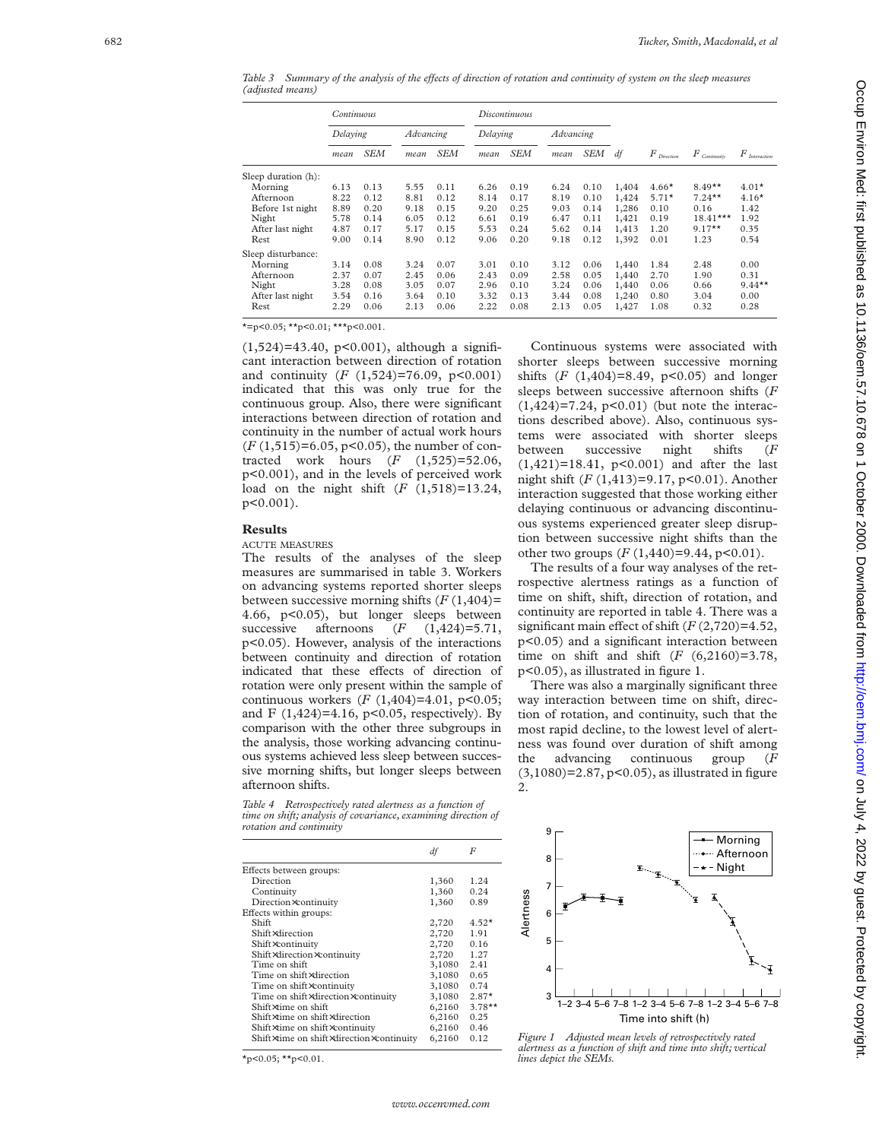*Table 3* Summary of the analysis of the effects of direction of rotation and continuity of system on the sleep measures *(adjusted means)*

|                     | Continuous |      |           |            |          | Discontinuous |           |      |       |               |                              |                                |
|---------------------|------------|------|-----------|------------|----------|---------------|-----------|------|-------|---------------|------------------------------|--------------------------------|
|                     | Delaying   |      | Advancing |            | Delaying |               | Advancing |      |       |               |                              |                                |
|                     | mean       | SEM  | mean      | <b>SEM</b> | mean     | SEM           | mean      | SEM  | df    | $F$ Direction | $F$ $_{\mathit{Continuity}}$ | $F_{\tiny \emph{Interaction}}$ |
| Sleep duration (h): |            |      |           |            |          |               |           |      |       |               |                              |                                |
| Morning             | 6.13       | 0.13 | 5.55      | 0.11       | 6.26     | 0.19          | 6.24      | 0.10 | 1,404 | $4.66*$       | $8.49**$                     | $4.01*$                        |
| Afternoon           | 8.22       | 0.12 | 8.81      | 0.12       | 8.14     | 0.17          | 8.19      | 0.10 | 1,424 | $5.71*$       | $7.24***$                    | $4.16*$                        |
| Before 1st night    | 8.89       | 0.20 | 9.18      | 0.15       | 9.20     | 0.25          | 9.03      | 0.14 | 1,286 | 0.10          | 0.16                         | 1.42                           |
| Night               | 5.78       | 0.14 | 6.05      | 0.12       | 6.61     | 0.19          | 6.47      | 0.11 | 1,421 | 0.19          | $18.41***$                   | 1.92                           |
| After last night    | 4.87       | 0.17 | 5.17      | 0.15       | 5.53     | 0.24          | 5.62      | 0.14 | 1,413 | 1.20          | $9.17**$                     | 0.35                           |
| Rest                | 9.00       | 0.14 | 8.90      | 0.12       | 9.06     | 0.20          | 9.18      | 0.12 | 1,392 | 0.01          | 1.23                         | 0.54                           |
| Sleep disturbance:  |            |      |           |            |          |               |           |      |       |               |                              |                                |
| Morning             | 3.14       | 0.08 | 3.24      | 0.07       | 3.01     | 0.10          | 3.12      | 0.06 | 1,440 | 1.84          | 2.48                         | 0.00                           |
| Afternoon           | 2.37       | 0.07 | 2.45      | 0.06       | 2.43     | 0.09          | 2.58      | 0.05 | 1,440 | 2.70          | 1.90                         | 0.31                           |
| Night               | 3.28       | 0.08 | 3.05      | 0.07       | 2.96     | 0.10          | 3.24      | 0.06 | 1,440 | 0.06          | 0.66                         | $9.44***$                      |
| After last night    | 3.54       | 0.16 | 3.64      | 0.10       | 3.32     | 0.13          | 3.44      | 0.08 | 1,240 | 0.80          | 3.04                         | 0.00                           |
| Rest                | 2.29       | 0.06 | 2.13      | 0.06       | 2.22     | 0.08          | 2.13      | 0.05 | 1,427 | 1.08          | 0.32                         | 0.28                           |

 $* = p < 0.05$ ;  $*$  $p < 0.01$ ;  $*$  $*$  $p < 0.001$ .

 $(1,524)=43.40$ , p<0.001), although a significant interaction between direction of rotation and continuity ( *F* (1,524)=76.09, p<0.001) indicated that this was only true for the continuous group. Also, there were significant interactions between direction of rotation and continuity in the number of actual work hours (*F* (1,515)=6.05, p<0.05), the number of contracted work hours (*F* (1,525)=52.06, p<0.001), and in the levels of perceived work load on the night shift ( *F* (1,518)=13.24, p<0.001).

# **Results**

# ACUTE MEASURES

The results of the analyses of the sleep measures are summarised in table 3. Workers on advancing systems reported shorter sleeps between successive morning shifts ( *F* (1,404)= 4.66, p<0.05), but longer sleeps between<br>successive afternoons  $(F (1.424)=5.71$ . successive afternoons  $(1,424) = 5.71$ , p<0.05). However, analysis of the interactions between continuity and direction of rotation indicated that these effects of direction of rotation were only present within the sample of continuous workers ( *F* (1,404)=4.01, p<0.05; and F  $(1,424)$ =4.16, p<0.05, respectively). By comparison with the other three subgroups in the analysis, those working advancing continuous systems achieved less sleep between successive morning shifts, but longer sleeps between afternoon shifts.

*Table 4 Retrospectively rated alertness as a function of time on shift; analysis of covariance, examining direction of rotation and continuity*

|                                          | df     | F         |
|------------------------------------------|--------|-----------|
| Effects between groups:                  |        |           |
| Direction                                | 1,360  | 1.24      |
| Continuity                               | 1,360  | 0.24      |
| Direction×continuity                     | 1,360  | 0.89      |
| Effects within groups:                   |        |           |
| Shift                                    | 2,720  | $4.52*$   |
| Shift×direction                          | 2,720  | 1.91      |
| Shift×continuity                         | 2,720  | 0.16      |
| Shift×direction×continuity               | 2,720  | 1.27      |
| Time on shift                            | 3,1080 | 2.41      |
| Time on shift×direction                  | 3,1080 | 0.65      |
| Time on shift×continuity                 | 3,1080 | 0.74      |
| Time on shift×direction×continuity       | 3,1080 | $2.87*$   |
| Shift×time on shift                      | 6,2160 | $3.78***$ |
| Shift×time on shift×direction            | 6,2160 | 0.25      |
| Shift×time on shift×continuity           | 6,2160 | 0.46      |
| Shift×time on shift×direction×continuity | 6,2160 | 0.12      |

 $*_p$ <0.05;  $*_p$ <0.01.

Continuous systems were associated with shorter sleeps between successive morning shifts  $(F (1, 404)=8.49, p<0.05)$  and longer sleeps between successive afternoon shifts ( *F*  $(1,424)=7.24$ ,  $p<0.01$ ) (but note the interactions described above). Also, continuous systems were associated with shorter sleeps between successive night shifts ( *F*  $(1,421)=18.41$ ,  $p<0.001$ ) and after the last night shift ( *F* (1,413)=9.17, p<0.01). Another interaction suggested that those working either delaying continuous or advancing discontinuous systems experienced greater sleep disruption between successive night shifts than the other two groups  $(F(1,440)=9.44, p<0.01)$ .

The results of a four way analyses of the retrospective alertness ratings as a function of time on shift, shift, direction of rotation, and continuity are reported in table 4. There was a significant main effect of shift  $(F(2, 720)=4.52,$ p<0.05) and a significant interaction between time on shift and shift ( *F* (6,2160)=3.78, p<0.05), as illustrated in figure 1.

There was also a marginally significant three way interaction between time on shift, direction of rotation, and continuity, such that the most rapid decline, to the lowest level of alertness was found over duration of shift among the advancing continuous group *F* (3,1080)=2.87, p<0.05), as illustrated in figure 2.



*Figure 1 Adjusted mean levels of retrospectively rated alertness as a function of shift and time into shift; vertical*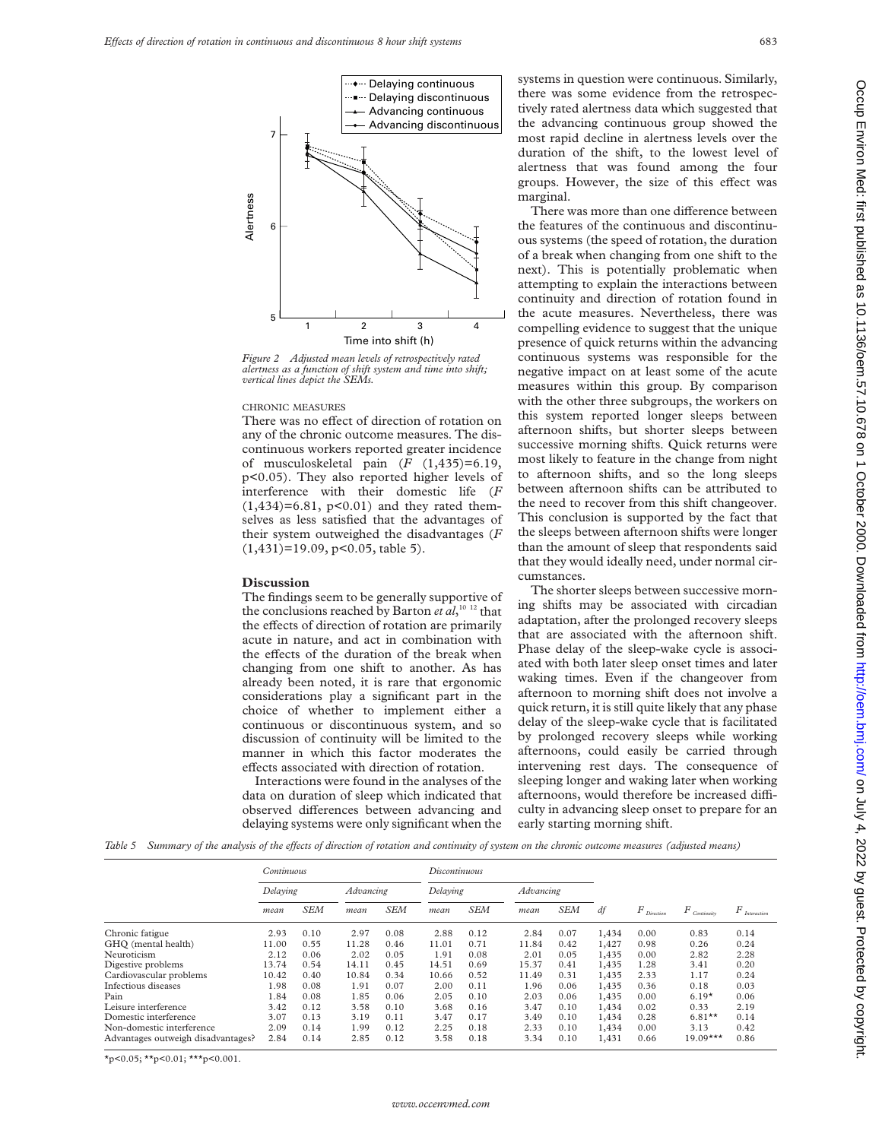

*Figure 2 Adjusted mean levels of retrospectively rated alertness as a function of shift system and time into shift; vertical lines depict the SEMs.*

#### CHRONIC MEASURES

There was no effect of direction of rotation on any of the chronic outcome measures. The discontinuous workers reported greater incidence of musculoskeletal pain  $(F (1,435)=6.19)$ , p<0.05). They also reported higher levels of interference with their domestic life (*F*  $(1,434)=6.81$ ,  $p<0.01$ ) and they rated themselves as less satisfied that the advantages of their system outweighed the disadvantages (*F* (1,431)=19.09, p<0.05, table 5).

## **Discussion**

The findings seem to be generally supportive of the conclusions reached by Barton *et al*, 10 12 that the effects of direction of rotation are primarily acute in nature, and act in combination with the effects of the duration of the break when changing from one shift to another. As has already been noted, it is rare that ergonomic considerations play a significant part in the choice of whether to implement either a continuous or discontinuous system, and so discussion of continuity will be limited to the manner in which this factor moderates the effects associated with direction of rotation.

Interactions were found in the analyses of the data on duration of sleep which indicated that observed differences between advancing and delaying systems were only significant when the

systems in question were continuous. Similarly, there was some evidence from the retrospectively rated alertness data which suggested that the advancing continuous group showed the most rapid decline in alertness levels over the duration of the shift, to the lowest level of alertness that was found among the four groups. However, the size of this effect was marginal.

There was more than one difference between the features of the continuous and discontinuous systems (the speed of rotation, the duration of a break when changing from one shift to the next). This is potentially problematic when attempting to explain the interactions between continuity and direction of rotation found in the acute measures. Nevertheless, there was compelling evidence to suggest that the unique presence of quick returns within the advancing continuous systems was responsible for the negative impact on at least some of the acute measures within this group. By comparison with the other three subgroups, the workers on this system reported longer sleeps between afternoon shifts, but shorter sleeps between successive morning shifts. Quick returns were most likely to feature in the change from night to afternoon shifts, and so the long sleeps between afternoon shifts can be attributed to the need to recover from this shift changeover. This conclusion is supported by the fact that the sleeps between afternoon shifts were longer than the amount of sleep that respondents said that they would ideally need, under normal circumstances.

The shorter sleeps between successive morning shifts may be associated with circadian adaptation, after the prolonged recovery sleeps that are associated with the afternoon shift. Phase delay of the sleep-wake cycle is associated with both later sleep onset times and later waking times. Even if the changeover from afternoon to morning shift does not involve a quick return, it is still quite likely that any phase delay of the sleep-wake cycle that is facilitated by prolonged recovery sleeps while working afternoons, could easily be carried through intervening rest days. The consequence of sleeping longer and waking later when working afternoons, would therefore be increased difficulty in advancing sleep onset to prepare for an early starting morning shift.

Table 5 Summary of the analysis of the effects of direction of rotation and continuity of system on the chronic outcome measures (adjusted means)

| Continuous |            |           |            |          |            |                  |            |       |      |               |                                |
|------------|------------|-----------|------------|----------|------------|------------------|------------|-------|------|---------------|--------------------------------|
| Delaying   |            | Advancing |            | Delaying |            | <b>Advancing</b> |            |       |      |               |                                |
| mean       | <b>SEM</b> | mean      | <b>SEM</b> | mean     | <b>SEM</b> | mean             | <b>SEM</b> | df    |      |               | $F_{\tiny \emph{Interaction}}$ |
| 2.93       | 0.10       | 2.97      | 0.08       | 2.88     | 0.12       | 2.84             | 0.07       | 1,434 | 0.00 | 0.83          | 0.14                           |
| 11.00      | 0.55       | 11.28     | 0.46       | 11.01    | 0.71       | 11.84            | 0.42       | 1,427 | 0.98 | 0.26          | 0.24                           |
| 2.12       | 0.06       | 2.02      | 0.05       | 1.91     | 0.08       | 2.01             | 0.05       | 1,435 | 0.00 | 2.82          | 2.28                           |
| 13.74      | 0.54       | 14.11     | 0.45       | 14.51    | 0.69       | 15.37            | 0.41       | 1,435 | 1.28 | 3.41          | 0.20                           |
| 10.42      | 0.40       | 10.84     | 0.34       | 10.66    | 0.52       | 11.49            | 0.31       | 1,435 | 2.33 | 1.17          | 0.24                           |
| 1.98       | 0.08       | 1.91      | 0.07       | 2.00     | 0.11       | 1.96             | 0.06       | 1,435 | 0.36 | 0.18          | 0.03                           |
| 1.84       | 0.08       | 1.85      | 0.06       | 2.05     | 0.10       | 2.03             | 0.06       | 1,435 | 0.00 | $6.19*$       | 0.06                           |
| 3.42       | 0.12       | 3.58      | 0.10       | 3.68     | 0.16       | 3.47             | 0.10       | 1,434 | 0.02 | 0.33          | 2.19                           |
| 3.07       | 0.13       | 3.19      | 0.11       | 3.47     | 0.17       | 3.49             | 0.10       | 1,434 | 0.28 | $6.81**$      | 0.14                           |
| 2.09       | 0.14       | 1.99      | 0.12       | 2.25     | 0.18       | 2.33             | 0.10       | 1,434 | 0.00 | 3.13          | 0.42                           |
| 2.84       | 0.14       | 2.85      | 0.12       | 3.58     | 0.18       | 3.34             | 0.10       | 1,431 | 0.66 | $19.09***$    | 0.86                           |
|            |            |           |            |          |            | Discontinuous    |            |       |      | $F$ Direction | $F$ Continuity                 |

 $\star$ p<0.05;  $\star\star$ p<0.01;  $\star\star\star$ p<0.001.